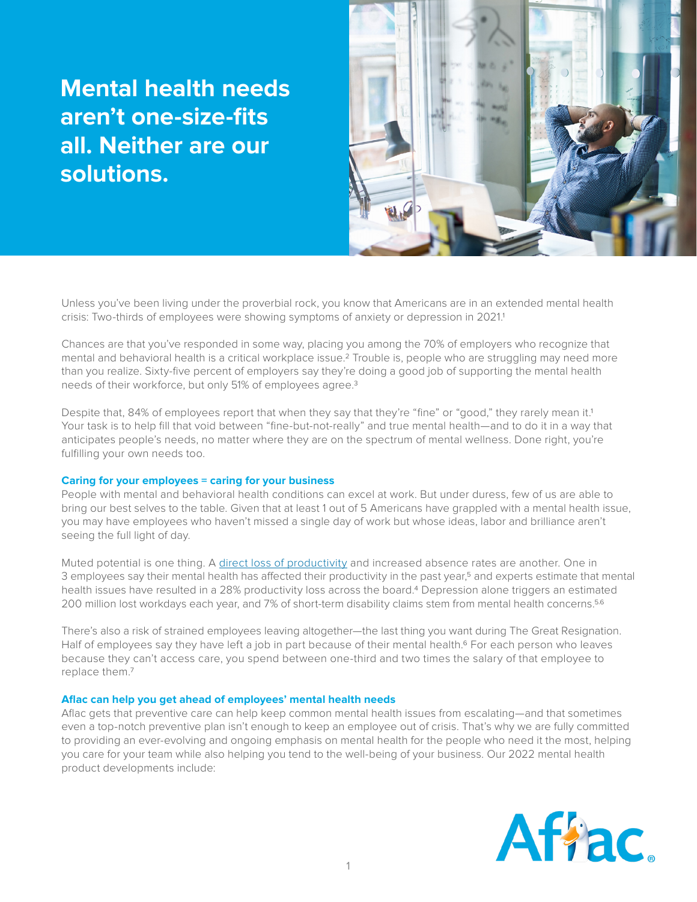# **Mental health needs aren't one-size-fits all. Neither are our solutions.**



Unless you've been living under the proverbial rock, you know that Americans are in an extended mental health crisis: Two-thirds of employees were showing symptoms of anxiety or depression in 2021.1

Chances are that you've responded in some way, placing you among the 70% of employers who recognize that mental and behavioral health is a critical workplace issue.2 Trouble is, people who are struggling may need more than you realize. Sixty-five percent of employers say they're doing a good job of supporting the mental health needs of their workforce, but only 51% of employees agree.3

Despite that, 84% of employees report that when they say that they're "fine" or "good," they rarely mean it.1 Your task is to help fill that void between "fine-but-not-really" and true mental health—and to do it in a way that anticipates people's needs, no matter where they are on the spectrum of mental wellness. Done right, you're fulfilling your own needs too.

### **Caring for your employees = caring for your business**

People with mental and behavioral health conditions can excel at work. But under duress, few of us are able to bring our best selves to the table. Given that at least 1 out of 5 Americans have grappled with a mental health issue, you may have employees who haven't missed a single day of work but whose ideas, labor and brilliance aren't seeing the full light of day.

Muted potential is one thing. A [direct loss of productivity](https://www.aflac.com/business/resources/articles/mental-health-in-the-workplace-and-productivity.aspx) and increased absence rates are another. One in 3 employees say their mental health has affected their productivity in the past year,<sup>5</sup> and experts estimate that mental health issues have resulted in a 28% productivity loss across the board.4 Depression alone triggers an estimated 200 million lost workdays each year, and 7% of short-term disability claims stem from mental health concerns.<sup>5,6</sup>

There's also a risk of strained employees leaving altogether—the last thing you want during The Great Resignation. Half of employees say they have left a job in part because of their mental health.<sup>6</sup> For each person who leaves because they can't access care, you spend between one-third and two times the salary of that employee to replace them.7

#### **Aflac can help you get ahead of employees' mental health needs**

Aflac gets that preventive care can help keep common mental health issues from escalating—and that sometimes even a top-notch preventive plan isn't enough to keep an employee out of crisis. That's why we are fully committed to providing an ever-evolving and ongoing emphasis on mental health for the people who need it the most, helping you care for your team while also helping you tend to the well-being of your business. Our 2022 mental health product developments include: